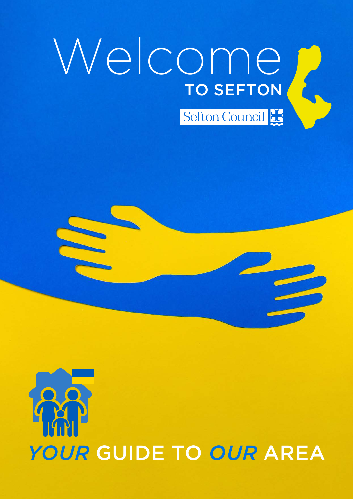# WelcomeTO SEFTON Sefton Council

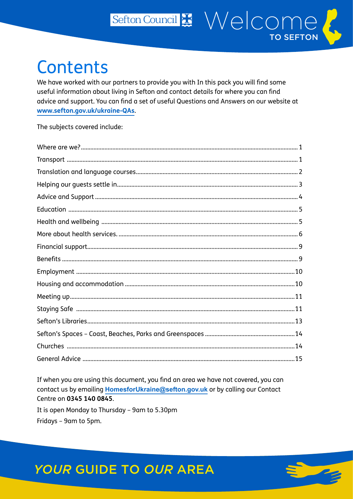## **Contents**

We have worked with our partners to provide you with In this pack you will find some useful information about living in Sefton and contact details for where you can find advice and support. You can find a set of useful Questions and Answers on our website at www.sefton.gov.uk/ukraine-QAs.

Sefton Council # Welcome?

**TO SEFTON** 

The subjects covered include:

If when you are using this document, you find an area we have not covered, you can contact us by emailing HomesforUkraine@sefton.gov.uk or by calling our Contact Centre on 0345 140 0845.

It is open Monday to Thursday - 9am to 5.30pm Fridays - 9am to 5pm.



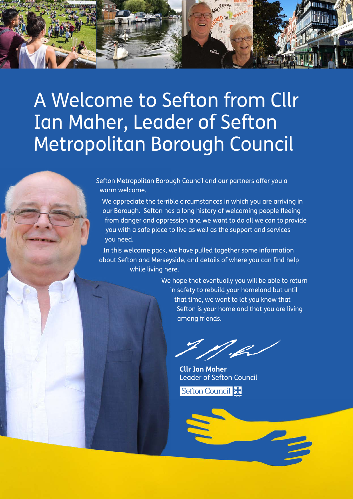

# A Welcome to Sefton from Cllr Ian Maher, Leader of Sefton Metropolitan Borough Council

Sefton Metropolitan Borough Council and our partners offer you a warm welcome.

We appreciate the terrible circumstances in which you are arriving in our Borough. Sefton has a long history of welcoming people fleeing from danger and oppression and we want to do all we can to provide you with a safe place to live as well as the support and services you need.

In this welcome pack, we have pulled together some information about Sefton and Merseyside, and details of where you can find help while living here.

> We hope that eventually you will be able to return in safety to rebuild your homeland but until that time, we want to let you know that Sefton is your home and that you are living among friends.

.fr

**Cllr Ian Maher**  Leader of Sefton Council

Sefton Council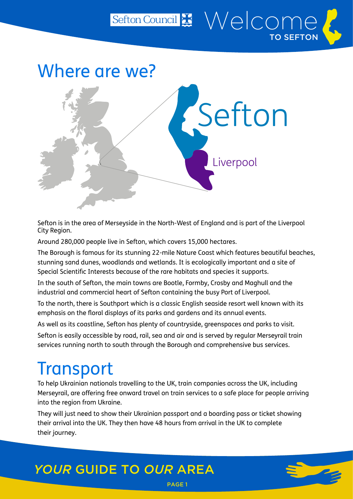<span id="page-3-0"></span>

Sefton Council Nelcome

TO SEFTON

Sefton is in the area of Merseyside in the North-West of England and is part of the Liverpool City Region.

Around 280,000 people live in Sefton, which covers 15,000 hectares.

The Borough is famous for its stunning 22-mile Nature Coast which features beautiful beaches, stunning sand dunes, woodlands and wetlands. It is ecologically important and a site of Special Scientific Interests because of the rare habitats and species it supports.

In the south of Sefton, the main towns are Bootle, Formby, Crosby and Maghull and the industrial and commercial heart of Sefton containing the busy Port of Liverpool.

To the north, there is Southport which is a classic English seaside resort well known with its emphasis on the floral displays of its parks and gardens and its annual events.

As well as its coastline, Sefton has plenty of countryside, greenspaces and parks to visit. Sefton is easily accessible by road, rail, sea and air and is served by regular Merseyrail train services running north to south through the Borough and comprehensive bus services.

## **Transport**

To help Ukrainian nationals travelling to the UK, train companies across the UK, including Merseyrail, are offering free onward travel on train services to a safe place for people arriving into the region from Ukraine.

They will just need to show their Ukrainian passport and a boarding pass or ticket showing their arrival into the UK. They then have 48 hours from arrival in the UK to complete their journey.

PAGE 1

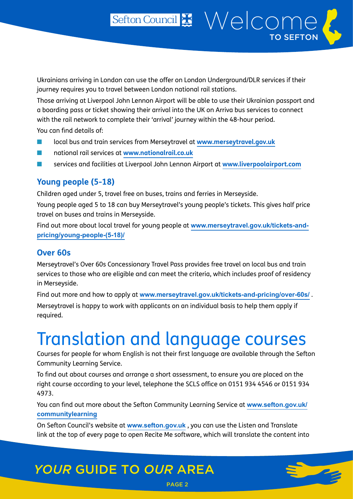Sefton Council # Welcome

TO SEFTON

<span id="page-4-0"></span>Those arriving at Liverpool John Lennon Airport will be able to use their Ukrainian passport and a boarding pass or ticket showing their arrival into the UK on Arriva bus services to connect with the rail network to complete their 'arrival' journey within the 48-hour period.

You can find details of:

- local bus and train services from Merseytravel at **[www.merseytravel.gov.uk](http://www.merseytravel.gov.uk)**
- national rail services at **[www.nationalrail.co.uk](http://www.nationalrail.co.uk)**
- services and facilities at Liverpool John Lennon Airport at **[www.liverpoolairport.com](http://www.liverpoolairport.com)**

#### **Young people (5-18)**

Children aged under 5, travel free on buses, trains and ferries in Merseyside.

Young people aged 5 to 18 can buy Merseytravel's young people's tickets. This gives half price travel on buses and trains in Merseyside.

Find out more about local travel for young people at **[www.merseytravel.gov.uk/tickets-and](http://www.merseytravel.gov.uk/tickets-and-pricing/young-people-(5-18)/)[pricing/young-people-\(5-18\)/](http://www.merseytravel.gov.uk/tickets-and-pricing/young-people-(5-18)/)**

#### **Over 60s**

Merseytravel's Over 60s Concessionary Travel Pass provides free travel on local bus and train services to those who are eligible and can meet the criteria, which includes proof of residency in Merseyside.

Find out more and how to apply at **[www.merseytravel.gov.uk/tickets-and-pricing/over-60s/](http://www.merseytravel.gov.uk/tickets-and-pricing/over-60s/)** . Merseytravel is happy to work with applicants on an individual basis to help them apply if required.

# Translation and language courses

Courses for people for whom English is not their first language are available through the Sefton Community Learning Service.

To find out about courses and arrange a short assessment, to ensure you are placed on the right course according to your level, telephone the SCLS office on 0151 934 4546 or 0151 934 4973.

You can find out more about the Sefton Community Learning Service at **[www.sefton.gov.uk/](http://www.sefton.gov.uk/communitylearning) [communitylearning](http://www.sefton.gov.uk/communitylearning)**

On Sefton Council's website at **[www.sefton.gov.uk](http://www.sefton.gov.uk)** , you can use the Listen and Translate link at the top of every page to open Recite Me software, which will translate the content into

PAGE 2

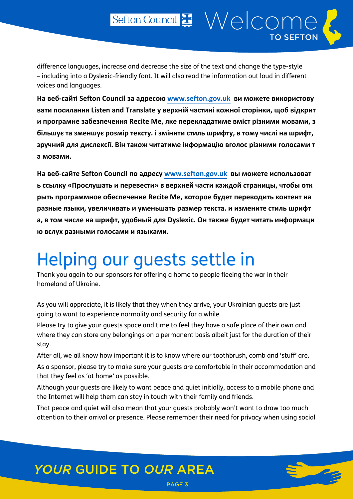<span id="page-5-0"></span>difference languages, increase and decrease the size of the text and change the type-style – including into a Dyslexic-friendly font. It will also read the information out loud in different voices and languages.

**На веб-сайті Sefton Council за адресою [www.sefton.gov.uk](http://www.sefton.gov.uk) ви можете використову вати посилання Listen and Translate у верхній частині кожної сторінки, щоб відкрит и програмне забезпечення Recite Me, яке перекладатиме вміст різними мовами, з більшує та зменшує розмір тексту. і змінити стиль шрифту, в тому числі на шрифт, зручний для дислексії. Він також читатиме інформацію вголос різними голосами т а мовами.**

**На веб-сайте Sefton Council по адресу [www.sefton.gov.uk](http://www.sefton.gov.uk) вы можете использоват ь ссылку «Прослушать и перевести» в верхней части каждой страницы, чтобы отк рыть программное обеспечение Recite Me, которое будет переводить контент на разные языки, увеличивать и уменьшать размер текста. и измените стиль шрифт а, в том числе на шрифт, удобный для Dyslexic. Он также будет читать информаци ю вслух разными голосами и языками.**

# Helping our guests settle in

Thank you again to our sponsors for offering a home to people fleeing the war in their homeland of Ukraine.

As you will appreciate, it is likely that they when they arrive, your Ukrainian guests are just going to want to experience normality and security for a while.

Please try to give your guests space and time to feel they have a safe place of their own and where they can store any belongings on a permanent basis albeit just for the duration of their stay.

After all, we all know how important it is to know where our toothbrush, comb and 'stuff' are. As a sponsor, please try to make sure your quests are comfortable in their accommodation and that they feel as 'at home' as possible.

Although your guests are likely to want peace and quiet initially, access to a mobile phone and the Internet will help them can stay in touch with their family and friends.

That peace and quiet will also mean that your guests probably won't want to draw too much attention to their arrival or presence. Please remember their need for privacy when using social

PAGE 3

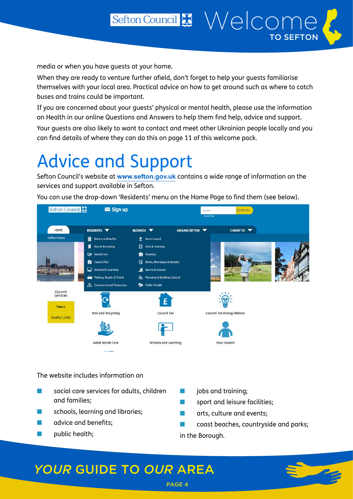<span id="page-6-0"></span>When they are ready to venture further afield, don't forget to help your guests familiarise themselves with your local area. Practical advice on how to get around such as where to catch buses and trains could be important.

Sefton Council # Welcome

TO SEFTON

If you are concerned about your guests' physical or mental health, please use the information on Health in our online Questions and Answers to help them find help, advice and support.

Your guests are also likely to want to contact and meet other Ukrainian people locally and you can find details of where they can do this on page 11 of this welcome pack.

# Advice and Support

Sefton Council's website at **[www.sefton.gov.uk](http://www.sefton.gov.uk)** contains a wide range of information on the services and support available in Sefton.

You can use the drop-down 'Residents' menu on the Home Page to find them (see below).



The website includes information on

- social care services for adults, children and families;
- schools, learning and libraries;
- advice and benefits;
- public health;
- jobs and training;
- sport and leisure facilities;
- arts, culture and events:
- coast beaches, countryside and parks;

in the Borough.

PAGE 4

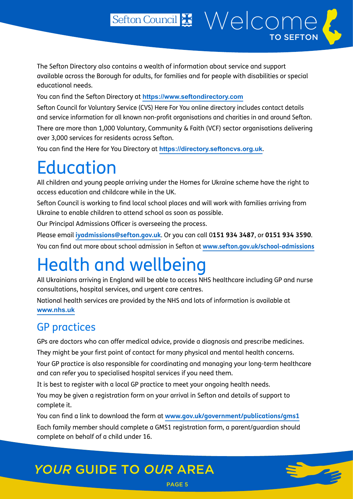Sefton Council # Welcome

TO SEFTON

You can find the Sefton Directory at **<https://www.seftondirectory.com>**

Sefton Council for Voluntary Service (CVS) Here For You online directory includes contact details and service information for all known non-profit organisations and charities in and around Sefton.

There are more than 1,000 Voluntary, Community & Faith (VCF) sector organisations delivering over 3,000 services for residents across Sefton.

You can find the Here for You Directory at **[https://directory.seftoncvs.org.uk](https://directory.seftoncvs.org.uk/)**.

# Education

<span id="page-7-0"></span>educational needs.

All children and young people arriving under the Homes for Ukraine scheme have the right to access education and childcare while in the UK.

Sefton Council is working to find local school places and will work with families arriving from Ukraine to enable children to attend school as soon as possible.

Our Principal Admissions Officer is overseeing the process.

Please email **[iyadmissions@sefton.gov.uk](mailto:iyadmissions@sefton.gov.uk)**. Or you can call 0**151 934 3487**, or **0151 934 3590**. You can find out more about school admission in Sefton at **[www.sefton.gov.uk/school-admissions](http://www.sefton.gov.uk/school-admissions)**

# Health and wellbeing

All Ukrainians arriving in England will be able to access NHS healthcare including GP and nurse consultations, hospital services, and urgent care centres.

National health services are provided by the NHS and lots of information is available at **[www.nhs.uk](http://www.nhs.uk)**

### GP practices

GPs are doctors who can offer medical advice, provide a diagnosis and prescribe medicines.

They might be your first point of contact for many physical and mental health concerns.

Your GP practice is also responsible for coordinating and managing your long-term healthcare and can refer you to specialised hospital services if you need them.

It is best to register with a local GP practice to meet your ongoing health needs.

You may be given a registration form on your arrival in Sefton and details of support to complete it.

You can find a link to download the form at **[www.gov.uk/government/publications/gms1](http://www.gov.uk/government/publications/gms1)**

Each family member should complete a GMS1 registration form, a parent/guardian should complete on behalf of a child under 16.

PAGE 5

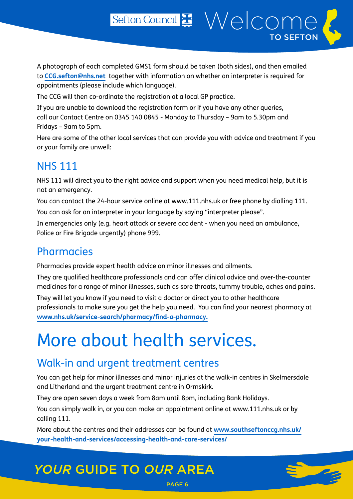Sefton Council # Welcome

TO SEFTON

<span id="page-8-0"></span>The CCG will then co-ordinate the registration at a local GP practice.

If you are unable to download the registration form or if you have any other queries, call our Contact Centre on 0345 140 0845 - Monday to Thursday – 9am to 5.30pm and Fridays – 9am to 5pm.

Here are some of the other local services that can provide you with advice and treatment if you or your family are unwell:

### NHS 111

NHS 111 will direct you to the right advice and support when you need medical help, but it is not an emergency.

You can contact the 24-hour service online at www.111.nhs.uk or free phone by dialling 111.

You can ask for an interpreter in your language by saying "interpreter please".

In emergencies only (e.g. heart attack or severe accident - when you need an ambulance, Police or Fire Brigade urgently) phone 999.

### **Pharmacies**

Pharmacies provide expert health advice on minor illnesses and ailments.

They are qualified healthcare professionals and can offer clinical advice and over-the-counter medicines for a range of minor illnesses, such as sore throats, tummy trouble, aches and pains.

They will let you know if you need to visit a doctor or direct you to other healthcare professionals to make sure you get the help you need. You can find your nearest pharmacy at **[www.nhs.uk/service-search/pharmacy/find-a-pharmacy](http://www.nhs.uk/service-search/pharmacy/find-a-pharmacy).**

# More about health services.

### Walk-in and urgent treatment centres

You can get help for minor illnesses and minor injuries at the walk-in centres in Skelmersdale and Litherland and the urgent treatment centre in Ormskirk.

They are open seven days a week from 8am until 8pm, including Bank Holidays.

You can simply walk in, or you can make an appointment online at [www.111.nhs.uk](http://www.111.nhs.uk) or by calling 111.

More about the centres and their addresses can be found at **[www.southseftonccg.nhs.uk/](http://www.southseftonccg.nhs.uk/your-health-and-services/accessing-health-and-care-services/) [your-health-and-services/accessing-health-and-care-services/](http://www.southseftonccg.nhs.uk/your-health-and-services/accessing-health-and-care-services/)** 

PAGE 6

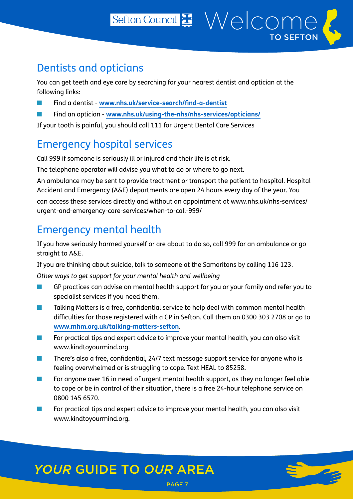You can get teeth and eye care by searching for your nearest dentist and optician at the following links:

Sefton Council Nelcome

TO SEFTON

- Find a dentist **[www.nhs.uk/service-search/find-a-dentist](https://www.nhs.uk/service-search/find-a-dentist)**
- Find an optician **[www.nhs.uk/using-the-nhs/nhs-services/opticians/](http://www.nhs.uk/using-the-nhs/nhs-services/opticians/)**

If your tooth is painful, you should call 111 for Urgent Dental Care Services

### Emergency hospital services

Call 999 if someone is seriously ill or injured and their life is at risk.

The telephone operator will advise you what to do or where to go next.

An ambulance may be sent to provide treatment or transport the patient to hospital. Hospital Accident and Emergency (A&E) departments are open 24 hours every day of the year. You

can access these services directly and without an appointment at [www.nhs.uk/nhs-services/](http://www.nhs.uk/nhs-services/urgent-and-emergency-care-services/when-to-call-999/) [urgent-and-emergency-care-services/when-to-call-999/](http://www.nhs.uk/nhs-services/urgent-and-emergency-care-services/when-to-call-999/)

### Emergency mental health

If you have seriously harmed yourself or are about to do so, call 999 for an ambulance or go straight to A&E.

If you are thinking about suicide, talk to someone at the Samaritans by calling 116 123.

*Other ways to get support for your mental health and wellbeing*

- GP practices can advise on mental health support for you or your family and refer you to specialist services if you need them.
- Talking Matters is a free, confidential service to help deal with common mental health difficulties for those registered with a GP in Sefton. Call them on 0300 303 2708 or go to **[www.mhm.org.uk/talking-matters-sefton](http://www.mhm.org.uk/talking-matters-sefton)**.
- For practical tips and expert advice to improve your mental health, you can also visit www.kindtoyourmind.org.
- There's also a free, confidential, 24/7 text message support service for anyone who is feeling overwhelmed or is struggling to cope. Text HEAL to 85258.
- For anyone over 16 in need of urgent mental health support, as they no longer feel able to cope or be in control of their situation, there is a free 24-hour telephone service on 0800 145 6570.

PAGE 7

For practical tips and expert advice to improve your mental health, you can also visit [www.kindtoyourmind.org](http://www.kindtoyourmind.org).

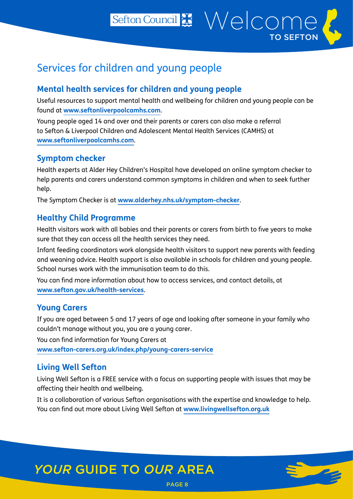Sefton Council & Welcome TO SEFTON

### Services for children and young people

#### **Mental health services for children and young people**

Useful resources to support mental health and wellbeing for children and young people can be found at **[www.seftonliverpoolcamhs.com](http://www.seftonliverpoolcamhs.com)**.

Young people aged 14 and over and their parents or carers can also make a referral to Sefton & Liverpool Children and Adolescent Mental Health Services (CAMHS) at **[www.seftonliverpoolcamhs.com](http://www.seftonliverpoolcamhs.com)**.

#### **Symptom checker**

Health experts at Alder Hey Children's Hospital have developed an online symptom checker to help parents and carers understand common symptoms in children and when to seek further help.

The Symptom Checker is at **[www.alderhey.nhs.uk/symptom-checker](http://www.alderhey.nhs.uk/symptom-checker)**.

#### **Healthy Child Programme**

Health visitors work with all babies and their parents or carers from birth to five years to make sure that they can access all the health services they need.

Infant feeding coordinators work alongside health visitors to support new parents with feeding and weaning advice. Health support is also available in schools for children and young people. School nurses work with the immunisation team to do this.

You can find more information about how to access services, and contact details, at **[www.sefton.gov.uk/health-services](http://www.sefton.gov.uk/health-services)**.

#### **Young Carers**

If you are aged between 5 and 17 years of age and looking after someone in your family who couldn't manage without you, you are a young carer.

You can find information for Young Carers at **[www.sefton-carers.org.uk/index.php/young-carers-service](http://www.sefton-carers.org.uk/index.php/young-carers-service)**

### **Living Well Sefton**

Living Well Sefton is a FREE service with a focus on supporting people with issues that may be affecting their health and wellbeing.

It is a collaboration of various Sefton organisations with the expertise and knowledge to help. You can find out more about Living Well Sefton at **[www.livingwellsefton.org.uk](http://www.livingwellsefton.org.uk)**

PAGE 8

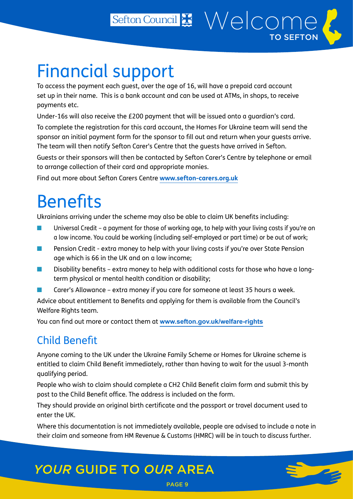# <span id="page-11-0"></span>Financial support

To access the payment each guest, over the age of 16, will have a prepaid card account set up in their name. This is a bank account and can be used at ATMs, in shops, to receive payments etc.

Sefton Council Nelcome

TO SEFTON

Under-16s will also receive the £200 payment that will be issued onto a guardian's card.

To complete the registration for this card account, the Homes For Ukraine team will send the sponsor an initial payment form for the sponsor to fill out and return when your guests arrive. The team will then notify Sefton Carer's Centre that the guests have arrived in Sefton.

Guests or their sponsors will then be contacted by Sefton Carer's Centre by telephone or email to arrange collection of their card and appropriate monies.

Find out more about Sefton Carers Centre **[www.sefton-carers.org.uk](http://www.sefton-carers.org.uk)**

## **Benefits**

Ukrainians arriving under the scheme may also be able to claim UK benefits including:

- Universal Credit a payment for those of working age, to help with your living costs if you're on a low income. You could be working (including self-employed or part time) or be out of work;
- Pension Credit extra money to help with your living costs if you're over State Pension age which is 66 in the UK and on a low income;
- Disability benefits extra money to help with additional costs for those who have a longterm physical or mental health condition or disability;
- Carer's Allowance extra money if you care for someone at least 35 hours a week.

Advice about entitlement to Benefits and applying for them is available from the Council's Welfare Rights team.

You can find out more or contact them at **[www.sefton.gov.uk/welfare-rights](http://www.sefton.gov.uk/welfare-rights)**

### Child Benefit

Anyone coming to the UK under the Ukraine Family Scheme or Homes for Ukraine scheme is entitled to claim Child Benefit immediately, rather than having to wait for the usual 3-month qualifying period.

People who wish to claim should complete a CH2 Child Benefit claim form and submit this by post to the Child Benefit office. The address is included on the form.

They should provide an original birth certificate and the passport or travel document used to enter the UK.

Where this documentation is not immediately available, people are advised to include a note in their claim and someone from HM Revenue & Customs (HMRC) will be in touch to discuss further.

PAGE 9

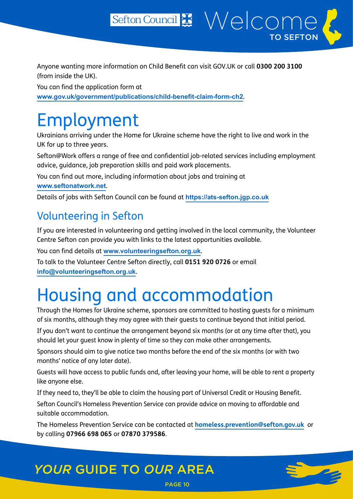<span id="page-12-0"></span>Anyone wanting more information on Child Benefit can visit GOV.UK or call **0300 200 3100** (from inside the UK).

You can find the application form at **[www.gov.uk/government/publications/child-benefit-claim-form-ch2](http://www.gov.uk/government/publications/child-benefit-claim-form-ch2)**.

## Employment

Ukrainians arriving under the Home for Ukraine scheme have the right to live and work in the UK for up to three years.

Sefton@Work offers a range of free and confidential job-related services including employment advice, guidance, job preparation skills and paid work placements.

You can find out more, including information about jobs and training at

#### **[www.seftonatwork.net](http://www.seftonatwork.net)**.

Details of jobs with Sefton Council can be found at **<https://ats-sefton.jgp.co.uk>**

### Volunteering in Sefton

If you are interested in volunteering and getting involved in the local community, the Volunteer Centre Sefton can provide you with links to the latest opportunities available.

You can find details at **[www.volunteeringsefton.org.uk](https://gbr01.safelinks.protection.outlook.com/?url=http%3A%2F%2Fwww.volunteeringsefton.org.uk%2F&data=04%7C01%7CMartin.Driver%40sefton.gov.uk%7Ce29d407a0c5a4c44c9eb08da1bdd53b3%7Cbf3a3387dc954c7d940e49cc2fc9d4f1%7C0%7C0%7C637852934651496348%7CUnknown%7CTWFpbGZsb3d8eyJWIjoiMC4wLjAwMDAiLCJQIjoiV2luMzIiLCJBTiI6Ik1haWwiLCJXVCI6Mn0%3D%7C3000&sdata=HWXbEXi3B1ttwF82JhY7PBhcu1pK3S4tMEWfZkVBds0%3D&reserved=0)**.

To talk to the Volunteer Centre Sefton directly, call **0151 920 0726** or email **[info@volunteeringsefton.org.uk](mailto:info@volunteeringsefton.org.uk)**.

## Housing and accommodation

Through the Homes for Ukraine scheme, sponsors are committed to hosting guests for a minimum of six months, although they may agree with their guests to continue beyond that initial period.

If you don't want to continue the arrangement beyond six months (or at any time after that), you should let your guest know in plenty of time so they can make other arrangements.

Sponsors should aim to give notice two months before the end of the six months (or with two months' notice of any later date).

Guests will have access to public funds and, after leaving your home, will be able to rent a property like anyone else.

If they need to, they'll be able to claim the housing part of Universal Credit or Housing Benefit.

Sefton Council's Homeless Prevention Service can provide advice on moving to affordable and suitable accommodation.

The Homeless Prevention Service can be contacted at **[homeless.prevention@sefton.gov.uk](mailto:homeless.prevention@sefton.gov.uk)** or by calling **07966 698 065** or **07870 379586**.

PAGE 10

## *YOUR* GUIDE TO *OUR* AREA

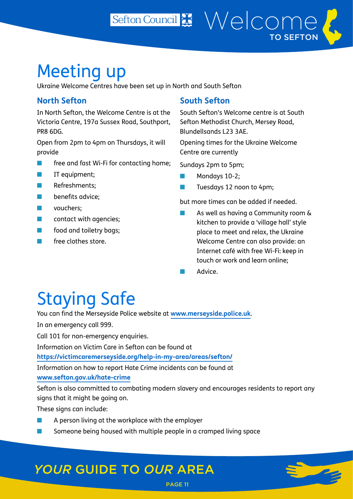<span id="page-13-0"></span>Ukraine Welcome Centres have been set up in North and South Sefton

### **North Sefton**

In North Sefton, the Welcome Centre is at the Victoria Centre, 197a Sussex Road, Southport, PR8 6DG.

Open from 2pm to 4pm on Thursdays, it will provide

- free and fast Wi-Fi for contacting home;
- IT equipment;
- Refreshments;
- benefits advice;
- vouchers:
- **T** contact with agencies:
- food and toiletry bags;
- free clothes store.

#### **South Sefton**

Sefton Council # Welcome

South Sefton's Welcome centre is at South Sefton Methodist Church, Mersey Road, Blundellsands L23 3AE.

TO SEFTON

Opening times for the Ukraine Welcome Centre are currently

Sundays 2pm to 5pm;

- Mondays 10-2;
- Tuesdays 12 noon to 4pm;

but more times can be added if needed.

- As well as having a Community room & kitchen to provide a 'village hall' style place to meet and relax, the Ukraine Welcome Centre can also provide: an Internet café with free Wi-Fi: keep in touch or work and learn online;
- Advice.

# Staying Safe

You can find the Merseyside Police website at **[www.merseyside.police.uk](http://www.merseyside.police.uk/)**.

In an emergency call 999.

Call 101 for non-emergency enquiries.

Information on Victim Care in Sefton can be found at

**<https://victimcaremerseyside.org/help-in-my-area/areas/sefton/>**

Information on how to report Hate Crime incidents can be found at **[www.sefton.gov.uk/hate-crime](http://www.sefton.gov.uk/hate-crime)**

Sefton is also committed to combating modern slavery and encourages residents to report any signs that it might be going on.

PAGE 11

These signs can include:

- A person living at the workplace with the employer
- Someone being housed with multiple people in a cramped living space

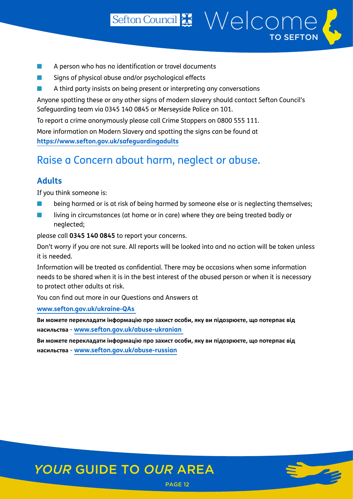- A person who has no identification or travel documents
- Signs of physical abuse and/or psychological effects
- A third party insists on being present or interpreting any conversations

Anyone spotting these or any other signs of modern slavery should contact Sefton Council's Safeguarding team via 0345 140 0845 or Merseyside Police on 101.

To report a crime anonymously please call Crime Stoppers on 0800 555 111.

More information on Modern Slavery and spotting the signs can be found at **<https://www.sefton.gov.uk/safeguardingadults>**

### Raise a Concern about harm, neglect or abuse.

#### **Adults**

If you think someone is:

- being harmed or is at risk of being harmed by someone else or is neglecting themselves;
- living in circumstances (at home or in care) where they are being treated badly or neglected;

please call **0345 140 0845** to report your concerns.

Don't worry if you are not sure. All reports will be looked into and no action will be taken unless it is needed.

Information will be treated as confidential. There may be occasions when some information needs to be shared when it is in the best interest of the abused person or when it is necessary to protect other adults at risk.

You can find out more in our Questions and Answers at

**[www.sefton.gov.uk/ukraine-QAs](https://www.sefton.gov.uk/ukraine-QAs)** 

**Ви можете перекладати інформацію про захист особи, яку ви підозрюєте, що потерпає від насильства** - **[www.sefton.gov.uk/abuse-ukranian](https://www.sefton.gov.uk/abuse-ukranian)** 

**Ви можете перекладати інформацію про захист особи, яку ви підозрюєте, що потерпає від насильства** - **[www.sefton.gov.uk/abuse-russian](https://www.sefton.gov.uk/abuse-russian)**

PAGE 12



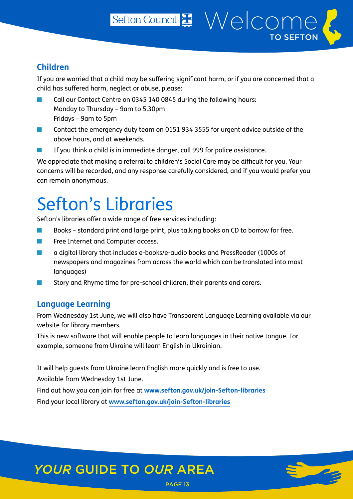#### <span id="page-15-0"></span>**Children**

If you are worried that a child may be suffering significant harm, or if you are concerned that a child has suffered harm, neglect or abuse, please:

- Call our Contact Centre on 0345 140 0845 during the following hours: Monday to Thursday – 9am to 5.30pm Fridays – 9am to 5pm
- Contact the emergency duty team on 0151 934 3555 for urgent advice outside of the above hours, and at weekends.
- If you think a child is in immediate danger, call 999 for police assistance.

We appreciate that making a referral to children's Social Care may be difficult for you. Your concerns will be recorded, and any response carefully considered, and if you would prefer you can remain anonymous.

## Sefton's Libraries

Sefton's libraries offer a wide range of free services including:

- Books standard print and large print, plus talking books on CD to borrow for free.
- Free Internet and Computer access.
- a digital library that includes e-books/e-audio books and PressReader (1000s of newspapers and magazines from across the world which can be translated into most languages)
- Story and Rhyme time for pre-school children, their parents and carers.

#### **Language Learning**

From Wednesday 1st June, we will also have Transparent Language Learning available via our website for library members.

PAGE 13

This is new software that will enable people to learn languages in their native tongue. For example, someone from Ukraine will learn English in Ukrainian.

It will help guests from Ukraine learn English more quickly and is free to use.

Available from Wednesday 1st June.

Find out how you can join for free at **[www.sefton.gov.uk/join-Sefton-libraries](https://www.sefton.gov.uk/join-Sefton-libraries)**  Find your local library at **[www.sefton.gov.uk/join-Sefton-libraries](https://www.sefton.gov.uk/join-Sefton-libraries)**

## *YOUR* GUIDE TO *OUR* AREA

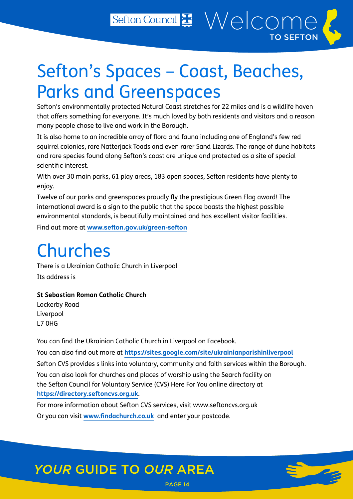# <span id="page-16-0"></span>Sefton's Spaces – Coast, Beaches, Parks and Greenspaces

Sefton's environmentally protected Natural Coast stretches for 22 miles and is a wildlife haven that offers something for everyone. It's much loved by both residents and visitors and a reason many people chose to live and work in the Borough.

It is also home to an incredible array of flora and fauna including one of England's few red squirrel colonies, rare Natterjack Toads and even rarer Sand Lizards. The range of dune habitats and rare species found along Sefton's coast are unique and protected as a site of special scientific interest.

With over 30 main parks, 61 play areas, 183 open spaces, Sefton residents have plenty to enjoy.

Twelve of our parks and greenspaces proudly fly the prestigious Green Flag award! The international award is a sign to the public that the space boasts the highest possible environmental standards, is beautifully maintained and has excellent visitor facilities.

Find out more at **[www.sefton.gov.uk/green-sefton](http://www.sefton.gov.uk/green-sefton)**

# Churches

There is a Ukrainian Catholic Church in Liverpool Its address is

#### **St Sebastian Roman Catholic Church**

Lockerby Road Liverpool L7 0HG

You can find the Ukrainian Catholic Church in Liverpool on Facebook.

You can also find out more at **<https://sites.google.com/site/ukrainianparishinliverpool>**

Sefton CVS provides s links into voluntary, community and faith services within the Borough.

PAGE 14

You can also look for churches and places of worship using the Search facility on the Sefton Council for Voluntary Service (CVS) Here For You online directory at **<https://directory.seftoncvs.org.uk>**.

For more information about Sefton CVS services, visit www.seftoncvs.org.uk Or you can visit **[www.findachurch.co.uk](http://www.findachurch.co.uk)** and enter your postcode.

## *YOUR* GUIDE TO *OUR* AREA

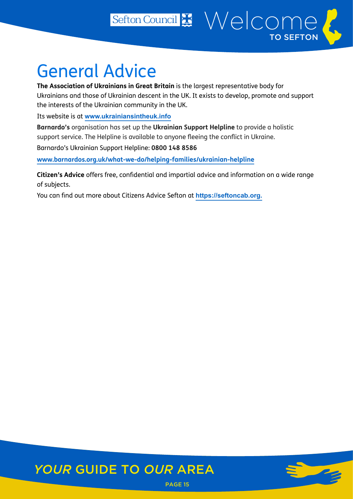## <span id="page-17-0"></span>General Advice

**The Association of Ukrainians in Great Britain** is the largest representative body for Ukrainians and those of Ukrainian descent in the UK. It exists to develop, promote and support the interests of the Ukrainian community in the UK.

Sefton Council Welcome

TO SEFTON

Its website is at **[www.ukrainiansintheuk.info](http://www.ukrainiansintheuk.info)**

**Barnardo's** organisation has set up the **Ukrainian Support Helpline** to provide a holistic support service. The Helpline is available to anyone fleeing the conflict in Ukraine.

Barnardo's Ukrainian Support Helpline: **0800 148 8586**

**[www.barnardos.org.uk/what-we-do/helping-families/ukrainian-helpline](http://www.barnardos.org.uk/what-we-do/helping-families/ukrainian-helpline)**

**Citizen's Advice** offers free, confidential and impartial advice and information on a wide range of subjects.

You can find out more about Citizens Advice Sefton at **[https://seftoncab.org.](https://seftoncab.org.uk)**

## *YOUR* GUIDE TO *OUR* AREA

PAGE 15

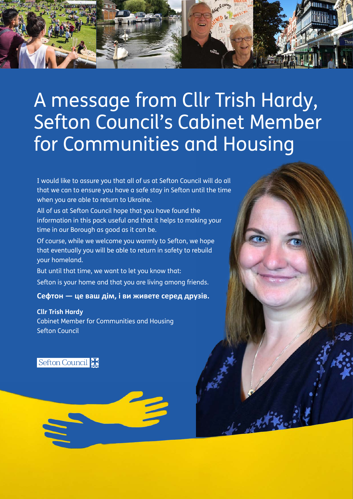

# A message from Cllr Trish Hardy, Sefton Council's Cabinet Member for Communities and Housing

I would like to assure you that all of us at Sefton Council will do all that we can to ensure you have a safe stay in Sefton until the time when you are able to return to Ukraine.

All of us at Sefton Council hope that you have found the information in this pack useful and that it helps to making your time in our Borough as good as it can be.

Of course, while we welcome you warmly to Sefton, we hope that eventually you will be able to return in safety to rebuild your homeland.

But until that time, we want to let you know that: Sefton is your home and that you are living among friends.

**Сефтон — це ваш дім, і ви живете серед друзів.**

**Cllr Trish Hardy** Cabinet Member for Communities and Housing Sefton Council